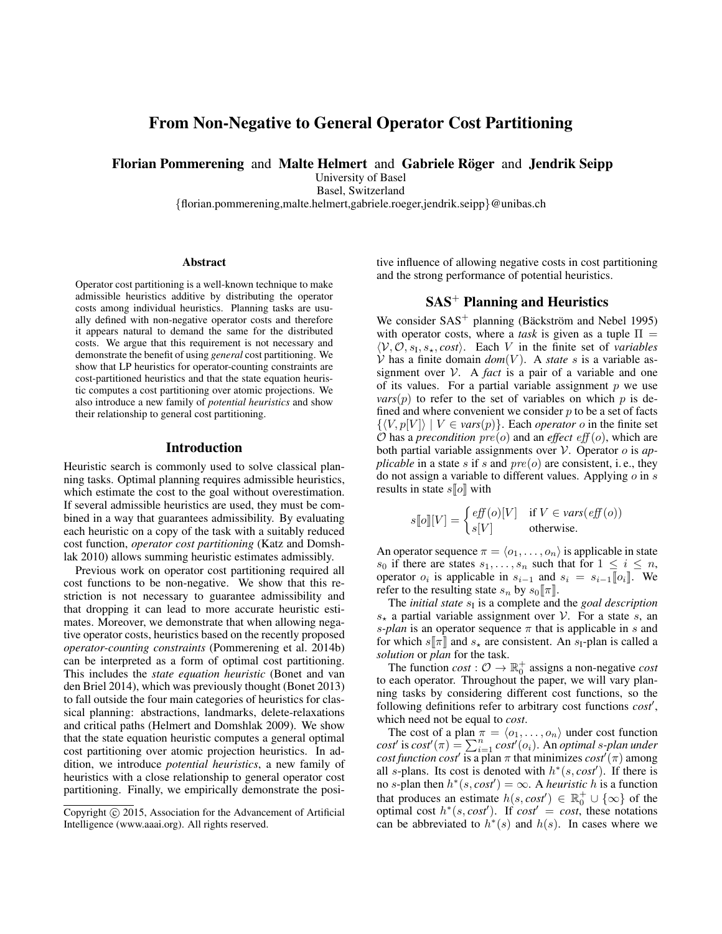# From Non-Negative to General Operator Cost Partitioning

Florian Pommerening and Malte Helmert and Gabriele Röger and Jendrik Seipp

University of Basel

Basel, Switzerland

{florian.pommerening,malte.helmert,gabriele.roeger,jendrik.seipp}@unibas.ch

#### **Abstract**

Operator cost partitioning is a well-known technique to make admissible heuristics additive by distributing the operator costs among individual heuristics. Planning tasks are usually defined with non-negative operator costs and therefore it appears natural to demand the same for the distributed costs. We argue that this requirement is not necessary and demonstrate the benefit of using *general* cost partitioning. We show that LP heuristics for operator-counting constraints are cost-partitioned heuristics and that the state equation heuristic computes a cost partitioning over atomic projections. We also introduce a new family of *potential heuristics* and show their relationship to general cost partitioning.

#### Introduction

Heuristic search is commonly used to solve classical planning tasks. Optimal planning requires admissible heuristics, which estimate the cost to the goal without overestimation. If several admissible heuristics are used, they must be combined in a way that guarantees admissibility. By evaluating each heuristic on a copy of the task with a suitably reduced cost function, *operator cost partitioning* (Katz and Domshlak 2010) allows summing heuristic estimates admissibly.

Previous work on operator cost partitioning required all cost functions to be non-negative. We show that this restriction is not necessary to guarantee admissibility and that dropping it can lead to more accurate heuristic estimates. Moreover, we demonstrate that when allowing negative operator costs, heuristics based on the recently proposed *operator-counting constraints* (Pommerening et al. 2014b) can be interpreted as a form of optimal cost partitioning. This includes the *state equation heuristic* (Bonet and van den Briel 2014), which was previously thought (Bonet 2013) to fall outside the four main categories of heuristics for classical planning: abstractions, landmarks, delete-relaxations and critical paths (Helmert and Domshlak 2009). We show that the state equation heuristic computes a general optimal cost partitioning over atomic projection heuristics. In addition, we introduce *potential heuristics*, a new family of heuristics with a close relationship to general operator cost partitioning. Finally, we empirically demonstrate the positive influence of allowing negative costs in cost partitioning and the strong performance of potential heuristics.

# $SAS<sup>+</sup>$  Planning and Heuristics

We consider  $SAS^+$  planning (Bäckström and Nebel 1995) with operator costs, where a *task* is given as a tuple  $\Pi$  =  $\langle V, O, s_I, s_\star, cost \rangle$ . Each V in the finite set of *variables*  $V$  has a finite domain  $dom(V)$ . A *state* s is a variable assignment over  $V$ . A *fact* is a pair of a variable and one of its values. For a partial variable assignment  $p$  we use  $vars(p)$  to refer to the set of variables on which p is defined and where convenient we consider  $p$  to be a set of facts  $\{\langle V, p[V] \rangle \mid V \in vars(p)\}.$  Each *operator o* in the finite set  $O$  has a *precondition*  $pre(o)$  and an *effect*  $eff(o)$ , which are both partial variable assignments over V. Operator o is *applicable* in a state s if s and  $pre(o)$  are consistent, i.e., they do not assign a variable to different values. Applying  $\sigma$  in  $s$ results in state  $s\llbracket o \rrbracket$  with

$$
s[\![o]\!][V] = \begin{cases} \text{eff}(o)[V] & \text{if } V \in \text{vars}(\text{eff}(o)) \\ \text{s}[V] & \text{otherwise.} \end{cases}
$$

An operator sequence  $\pi = \langle o_1, \ldots, o_n \rangle$  is applicable in state  $s_0$  if there are states  $s_1, \ldots, s_n$  such that for  $1 \leq i \leq n$ , operator  $o_i$  is applicable in  $s_{i-1}$  and  $s_i = s_{i-1} [o_i]$ . We refer to the resulting state  $s_n$  by  $s_0[\![\pi]\!]$ .

The *initial state*  $s<sub>I</sub>$  is a complete and the *goal description*  $s_{\star}$  a partial variable assignment over V. For a state s, an *s-plan* is an operator sequence  $\pi$  that is applicable in s and for which  $s[\![\pi]\!]$  and  $s_{\star}$  are consistent. An  $s_I$ -plan is called a *solution* or *plan* for the task.

The function  $cost: \mathcal{O} \rightarrow \mathbb{R}_0^+$  assigns a non-negative *cost* to each operator. Throughout the paper, we will vary planning tasks by considering different cost functions, so the following definitions refer to arbitrary cost functions *cost*′ , which need not be equal to *cost*.

The cost of a plan  $\pi = \langle o_1, \ldots, o_n \rangle$  under cost function  $cost'$  is  $cost'(\pi) = \sum_{i=1}^{n} cost'(o_i)$ . An *optimal s-plan under cost function cost'* is a plan  $\pi$  that minimizes  $cost^{T}(\pi)$  among all s-plans. Its cost is denoted with  $h^*(s, cost')$ . If there is no *s*-plan then  $h^*(s, cost') = \infty$ . A *heuristic* h is a function that produces an estimate  $h(s, cost') \in \mathbb{R}_0^+ \cup \{\infty\}$  of the optimal cost  $h^*(s, cost')$ . If  $cost' = cost$ , these notations can be abbreviated to  $h^*(s)$  and  $h(s)$ . In cases where we

Copyright  $\odot$  2015, Association for the Advancement of Artificial Intelligence (www.aaai.org). All rights reserved.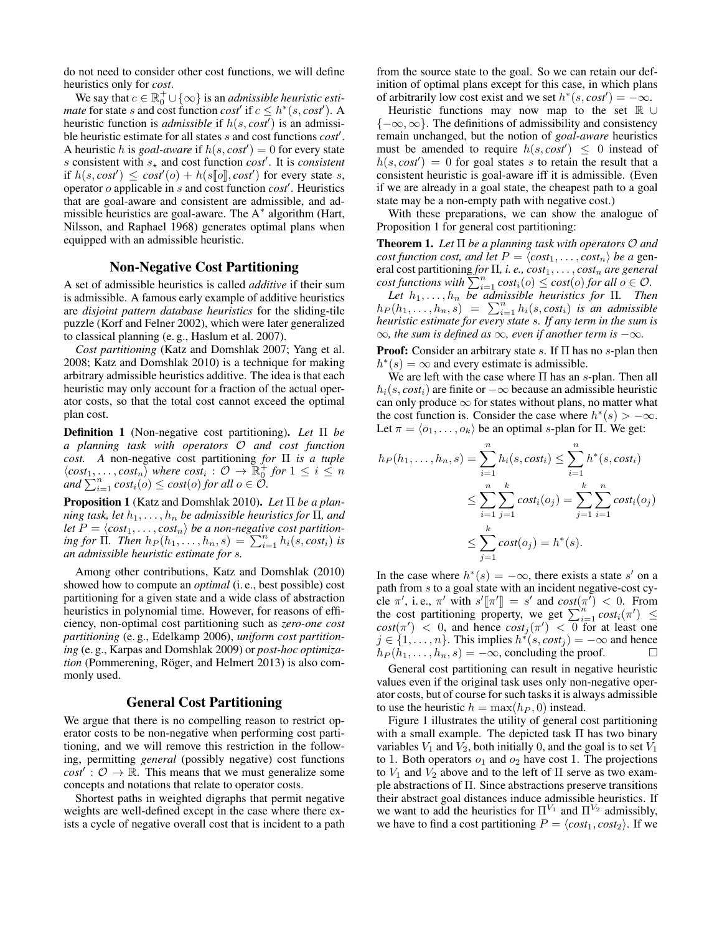do not need to consider other cost functions, we will define heuristics only for *cost*.

We say that  $c \in \mathbb{R}_0^+ \cup \{\infty\}$  is an *admissible heuristic estimate* for state *s* and cost function *cost'* if  $c \leq h^*(s, cost')$ . A heuristic function is *admissible* if h(s, *cost*′ ) is an admissible heuristic estimate for all states s and cost functions *cost*′ . A heuristic h is *goal-aware* if  $h(s, cost') = 0$  for every state s consistent with  $s_{\star}$  and cost function *cost'*. It is *consistent* if  $h(s, cost') \leq cost'(o) + h(s[\![o]\!], cost')$  for every state s, operator o applicable in s and cost function *cost*′ . Heuristics that are goal-aware and consistent are admissible, and admissible heuristics are goal-aware. The A<sup>\*</sup> algorithm (Hart, Nilsson, and Raphael 1968) generates optimal plans when equipped with an admissible heuristic.

### Non-Negative Cost Partitioning

A set of admissible heuristics is called *additive* if their sum is admissible. A famous early example of additive heuristics are *disjoint pattern database heuristics* for the sliding-tile puzzle (Korf and Felner 2002), which were later generalized to classical planning (e. g., Haslum et al. 2007).

*Cost partitioning* (Katz and Domshlak 2007; Yang et al. 2008; Katz and Domshlak 2010) is a technique for making arbitrary admissible heuristics additive. The idea is that each heuristic may only account for a fraction of the actual operator costs, so that the total cost cannot exceed the optimal plan cost.

Definition 1 (Non-negative cost partitioning). *Let* Π *be a planning task with operators* O *and cost function cost. A* non-negative cost partitioning *for* Π *is a tuple*  $\langle cost_1, \ldots, cost_n \rangle$  where  $cost_i : \mathcal{O} \rightarrow \mathbb{R}^+_0$  for  $1 \leq i \leq n$  $\lim_{n \to \infty} \frac{P_n}{P_{i=1}} \text{cost}_i(o) \leq \text{cost}(o) \text{ for all } o \in \mathcal{O}.$ 

Proposition 1 (Katz and Domshlak 2010). *Let* Π *be a planning task, let*  $h_1, \ldots, h_n$  *be admissible heuristics for*  $\Pi$ *, and* let  $P = \langle cost_1, \ldots, cost_n \rangle$  *be a non-negative cost partitioning for*  $\prod$ *. Then*  $h_P(h_1, \ldots, h_n, s) = \sum_{i=1}^n h_i(s, cost_i)$  *is an admissible heuristic estimate for* s*.*

Among other contributions, Katz and Domshlak (2010) showed how to compute an *optimal* (i. e., best possible) cost partitioning for a given state and a wide class of abstraction heuristics in polynomial time. However, for reasons of efficiency, non-optimal cost partitioning such as *zero-one cost partitioning* (e. g., Edelkamp 2006), *uniform cost partitioning* (e. g., Karpas and Domshlak 2009) or *post-hoc optimization* (Pommerening, Röger, and Helmert 2013) is also commonly used.

## General Cost Partitioning

We argue that there is no compelling reason to restrict operator costs to be non-negative when performing cost partitioning, and we will remove this restriction in the following, permitting *general* (possibly negative) cost functions  $\cos t'$ :  $\mathcal{O} \rightarrow \mathbb{R}$ . This means that we must generalize some concepts and notations that relate to operator costs.

Shortest paths in weighted digraphs that permit negative weights are well-defined except in the case where there exists a cycle of negative overall cost that is incident to a path

from the source state to the goal. So we can retain our definition of optimal plans except for this case, in which plans of arbitrarily low cost exist and we set  $h^*(s, cost') = -\infty$ .

Heuristic functions may now map to the set R ∪  ${-\infty, \infty}$ . The definitions of admissibility and consistency remain unchanged, but the notion of *goal-aware* heuristics must be amended to require  $h(s, cost') \leq 0$  instead of  $h(s, cost') = 0$  for goal states s to retain the result that a consistent heuristic is goal-aware iff it is admissible. (Even if we are already in a goal state, the cheapest path to a goal state may be a non-empty path with negative cost.)

With these preparations, we can show the analogue of Proposition 1 for general cost partitioning:

Theorem 1. *Let* Π *be a planning task with operators* O *and cost function cost, and let*  $P = \langle cost_1, \ldots, cost_n \rangle$  *be a* general cost partitioning *for*  $\Pi$ , *i. e., cost*<sub>1</sub>, ..., *cost*<sub>n</sub> are general *cost functions with*  $\sum_{i=1}^n cost_i(o) \le cost(o)$  *for all*  $o \in O$ *.* 

Let  $h_1, \ldots, h_n$  be admissible heuristics for  $\Pi$ . Then  $h_P(h_1, \ldots, h_n, s) = \sum_{i=1}^n h_i(s, cost_i)$  *is an admissible heuristic estimate for every state* s*. If any term in the sum is*  $\infty$ *, the sum is defined as*  $\infty$ *, even if another term is*  $-\infty$ *.* 

**Proof:** Consider an arbitrary state s. If  $\Pi$  has no s-plan then  $h^*(s) = \infty$  and every estimate is admissible.

We are left with the case where  $\Pi$  has an s-plan. Then all  $h_i(s, cost_i)$  are finite or  $-\infty$  because an admissible heuristic can only produce  $\infty$  for states without plans, no matter what the cost function is. Consider the case where  $h^*(s) > -\infty$ . Let  $\pi = \langle o_1, \ldots, o_k \rangle$  be an optimal s-plan for Π. We get:

$$
h_P(h_1, ..., h_n, s) = \sum_{i=1}^n h_i(s, cost_i) \le \sum_{i=1}^n h^*(s, cost_i)
$$
  

$$
\le \sum_{i=1}^n \sum_{j=1}^k cost_i(o_j) = \sum_{j=1}^k \sum_{i=1}^n cost_i(o_j)
$$
  

$$
\le \sum_{j=1}^k cost(o_j) = h^*(s).
$$

In the case where  $h^*(s) = -\infty$ , there exists a state s' on a path from s to a goal state with an incident negative-cost cycle  $\pi'$ , i.e.,  $\pi'$  with  $s'[\pi'] = s'$  and  $cost(\pi') < 0$ . From the cost partitioning property, we get  $\sum_{i=1}^{n} cost_i(\pi') \leq$  $cost(\pi') < 0$ , and hence  $cost_j(\pi') < 0$  for at least one  $j \in \{1, \ldots, n\}$ . This implies  $h^*(s, cost_j) = -\infty$  and hence  $h_P(h_1, \ldots, h_n, s) = -\infty$ , concluding the proof.

General cost partitioning can result in negative heuristic values even if the original task uses only non-negative operator costs, but of course for such tasks it is always admissible to use the heuristic  $h = \max(h_P, 0)$  instead.

Figure 1 illustrates the utility of general cost partitioning with a small example. The depicted task Π has two binary variables  $V_1$  and  $V_2$ , both initially 0, and the goal is to set  $V_1$ to 1. Both operators  $o_1$  and  $o_2$  have cost 1. The projections to  $V_1$  and  $V_2$  above and to the left of  $\Pi$  serve as two example abstractions of Π. Since abstractions preserve transitions their abstract goal distances induce admissible heuristics. If we want to add the heuristics for  $\Pi^{V_1}$  and  $\Pi^{V_2}$  admissibly, we have to find a cost partitioning  $P = \langle cost_1, cost_2 \rangle$ . If we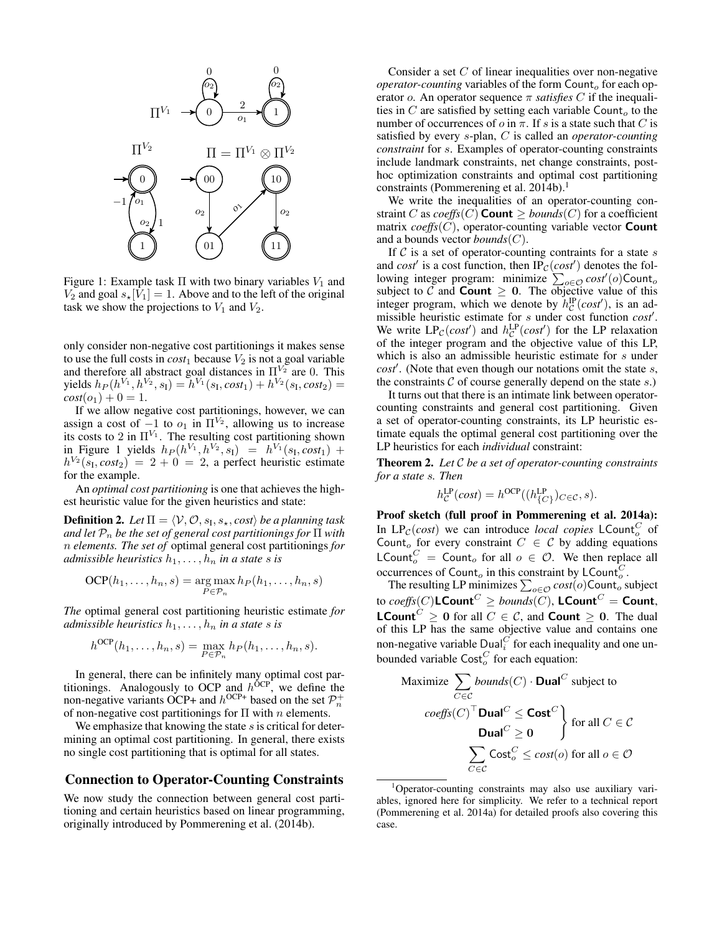

Figure 1: Example task  $\Pi$  with two binary variables  $V_1$  and  $V_2$  and goal  $s_{\star}[V_1] = 1$ . Above and to the left of the original task we show the projections to  $V_1$  and  $V_2$ .

only consider non-negative cost partitionings it makes sense to use the full costs in  $cost_1$  because  $V_2$  is not a goal variable and therefore all abstract goal distances in  $\Pi^{V_2}$  are 0. This yields  $h_P(h^{V_1}, h^{V_2}, s_1) = h^{V_1}(s_1, cost_1) + h^{V_2}(s_1, cost_2) =$  $cost(o_1) + 0 = 1.$ 

If we allow negative cost partitionings, however, we can assign a cost of  $-1$  to  $o_1$  in  $\Pi^{V_2}$ , allowing us to increase its costs to 2 in  $\Pi^{V_1}$ . The resulting cost partitioning shown in Figure 1 yields  $h_P(h^{V_1}, h^{V_2}, s_1) = h^{V_1}(s_1, cost_1) +$  $h^{V_2}(s_1, cost_2) = 2 + 0 = 2$ , a perfect heuristic estimate for the example.

An *optimal cost partitioning* is one that achieves the highest heuristic value for the given heuristics and state:

**Definition 2.** Let  $\Pi = \langle \mathcal{V}, \mathcal{O}, s_{\text{I}}, s_{\star}, cost \rangle$  be a planning task *and let*  $P_n$  *be the set of general cost partitionings for*  $\Pi$  *with* n *elements. The set of* optimal general cost partitionings *for admissible heuristics*  $h_1, \ldots, h_n$  *in a state s is* 

$$
OCP(h_1, \ldots, h_n, s) = \underset{P \in \mathcal{P}_n}{\arg \max} h_P(h_1, \ldots, h_n, s)
$$

*The* optimal general cost partitioning heuristic estimate *for admissible heuristics*  $h_1, \ldots, h_n$  *in a state s is* 

$$
h^{\text{OCP}}(h_1,\ldots,h_n,s)=\max_{P\in\mathcal{P}_n}h_P(h_1,\ldots,h_n,s).
$$

In general, there can be infinitely many optimal cost partitionings. Analogously to OCP and  $h^{OCP}$ , we define the non-negative variants OCP+ and  $h^{OCP+}$  based on the set  $\mathcal{P}_n^+$ of non-negative cost partitionings for  $\Pi$  with n elements.

We emphasize that knowing the state  $s$  is critical for determining an optimal cost partitioning. In general, there exists no single cost partitioning that is optimal for all states.

### Connection to Operator-Counting Constraints

We now study the connection between general cost partitioning and certain heuristics based on linear programming, originally introduced by Pommerening et al. (2014b).

Consider a set  $C$  of linear inequalities over non-negative *operator-counting* variables of the form  $Count<sub>o</sub>$  for each operator *o*. An operator sequence  $\pi$  *satisfies* C if the inequalities in C are satisfied by setting each variable  $Count<sub>o</sub>$  to the number of occurrences of  $o$  in  $\pi$ . If s is a state such that C is satisfied by every s-plan, C is called an *operator-counting constraint* for s. Examples of operator-counting constraints include landmark constraints, net change constraints, posthoc optimization constraints and optimal cost partitioning constraints (Pommerening et al. 2014b).<sup>1</sup>

We write the inequalities of an operator-counting constraint C as  $coeffs(C)$  **Count**  $\geq$  *bounds*(C) for a coefficient matrix  $coeffs(C)$ , operator-counting variable vector **Count** and a bounds vector *bounds*(C).

If  $C$  is a set of operator-counting contraints for a state  $s$ and *cost'* is a cost function, then  $IP_{\mathcal{C}}(cost')$  denotes the following integer program: minimize  $\sum_{o \in \mathcal{O}} cost'(o)$ Count<sub>o</sub> subject to  $\tilde{C}$  and **Count**  $\geq 0$ . The objective value of this integer program, which we denote by  $h_C^{\text{IP}}(cost')$ , is an admissible heuristic estimate for s under cost function *cost*′ . We write  $LP_{\mathcal{C}}(cost')$  and  $h_{\mathcal{C}}^{LP}(cost')$  for the LP relaxation of the integer program and the objective value of this LP, which is also an admissible heuristic estimate for s under *cost*′ . (Note that even though our notations omit the state s, the constraints  $C$  of course generally depend on the state  $s$ .)

It turns out that there is an intimate link between operatorcounting constraints and general cost partitioning. Given a set of operator-counting constraints, its LP heuristic estimate equals the optimal general cost partitioning over the LP heuristics for each *individual* constraint:

Theorem 2. *Let* C *be a set of operator-counting constraints for a state* s*. Then*

$$
h_C^{\text{LP}}(cost) = h^{\text{OCP}}((h_{\{C\}}^{\text{LP}})_{C \in \mathcal{C}}, s).
$$

Proof sketch (full proof in Pommerening et al. 2014a): In  $LP_{\mathcal{C}}(cost)$  we can introduce *local copies* LCount<sub>o</sub> of Count<sub>o</sub> for every constraint  $C \in \mathcal{C}$  by adding equations LCount $C = \text{Count}_o$  for all  $o \in O$ . We then replace all occurrences of Count<sub>o</sub> in this constraint by LCount<sub>o</sub>.

The resulting LP minimizes  $\sum_{o \in \mathcal{O}} cost(o)$ Count<sub>o</sub> subject to  $coeffs(C)$ **LCount** $C \geq \text{bounds}(C)$ , **LCount** $C =$  **Count**, **LCount**<sup>C</sup>  $\geq$  0 for all  $C \in \mathcal{C}$ , and **Count**  $\geq$  0. The dual of this LP has the same objective value and contains one non-negative variable  $\text{Dual}_i^C$  for each inequality and one unbounded variable  $\text{Cost}_{o}^{C}$  for each equation:

$$
\begin{aligned}\n\text{Maximize } &\sum_{C \in \mathcal{C}} \text{bounds}(C) \cdot \text{Dual}^C \text{ subject to} \\
\text{coeffs}(C)^\top \text{Dual}^C &\le \text{Cost}^C \\
&\text{Dual}^C \ge 0 \\
&\sum_{C \in \mathcal{C}} \text{Cost}_o^C \le \text{cost}(o) \text{ for all } o \in \mathcal{O}\n\end{aligned}
$$

<sup>&</sup>lt;sup>1</sup>Operator-counting constraints may also use auxiliary variables, ignored here for simplicity. We refer to a technical report (Pommerening et al. 2014a) for detailed proofs also covering this case.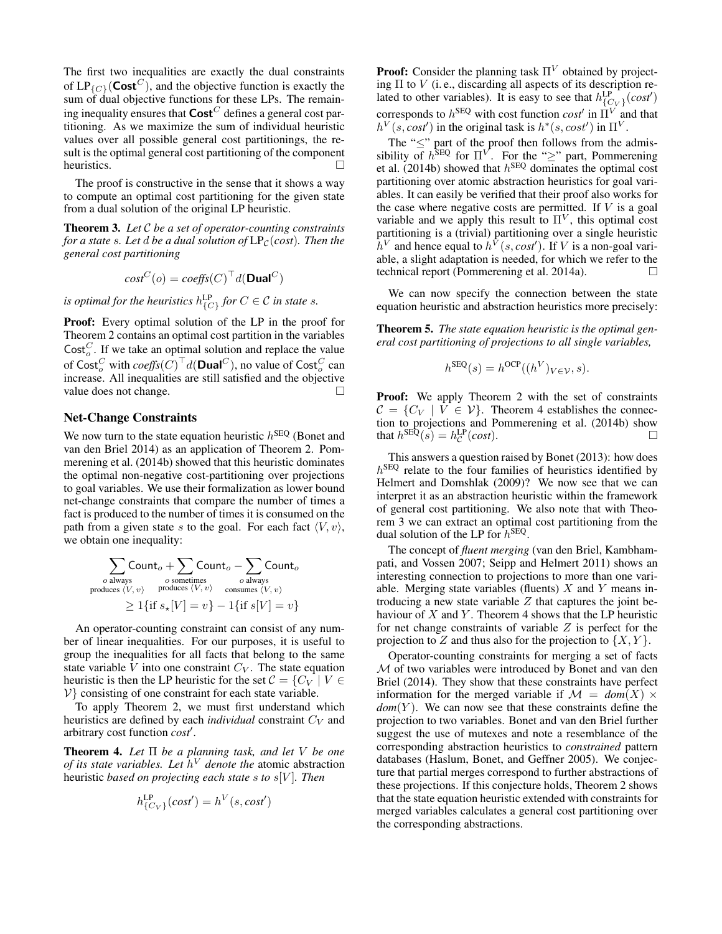The first two inequalities are exactly the dual constraints of  $LP_{\{C\}}(\text{Cost}^C)$ , and the objective function is exactly the sum of dual objective functions for these LPs. The remaining inequality ensures that  $\mathsf{Cost}^C$  defines a general cost partitioning. As we maximize the sum of individual heuristic values over all possible general cost partitionings, the result is the optimal general cost partitioning of the component heuristics.

The proof is constructive in the sense that it shows a way to compute an optimal cost partitioning for the given state from a dual solution of the original LP heuristic.

Theorem 3. *Let* C *be a set of operator-counting constraints for a state s. Let d be a dual solution of*  $LP<sub>C</sub>(cost)$ *. Then the general cost partitioning*

$$
cost^{C}(o) = coeffs(C)^{\top}d(\textbf{Dual}^{C})
$$

is optimal for the heuristics  $h^{\text{LP}}_{\{C\}}$  for  $C \in \mathcal{C}$  in state s.

Proof: Every optimal solution of the LP in the proof for Theorem 2 contains an optimal cost partition in the variables Cost<sub>o</sub>. If we take an optimal solution and replace the value of  $\mathsf{Cost}^C_o$  with  $\mathit{coeffs}(C)^\top d(\mathsf{Dual}^C)$ , no value of  $\mathsf{Cost}^C_o$  can increase. All inequalities are still satisfied and the objective value does not change.  $\Box$ 

### Net-Change Constraints

We now turn to the state equation heuristic  $h^{\text{SEQ}}$  (Bonet and van den Briel 2014) as an application of Theorem 2. Pommerening et al. (2014b) showed that this heuristic dominates the optimal non-negative cost-partitioning over projections to goal variables. We use their formalization as lower bound net-change constraints that compare the number of times a fact is produced to the number of times it is consumed on the path from a given state s to the goal. For each fact  $\langle V, v \rangle$ , we obtain one inequality:

$$
\sum_{o \text{ always}} \text{Count}_o + \sum_{o \text{ sometimes}} \text{Count}_o - \sum_{o \text{ always}} \text{Count}_o
$$
\n
$$
\text{produces } \langle V, v \rangle \quad \text{produces } \langle V, v \rangle \quad \text{consumes } \langle V, v \rangle
$$
\n
$$
\geq 1 \{ \text{if } s_x[V] = v \} - 1 \{ \text{if } s[V] = v \}
$$

An operator-counting constraint can consist of any number of linear inequalities. For our purposes, it is useful to group the inequalities for all facts that belong to the same state variable V into one constraint  $C_V$ . The state equation heuristic is then the LP heuristic for the set  $C = \{C_V \mid V \in$  $V$ } consisting of one constraint for each state variable.

To apply Theorem 2, we must first understand which heuristics are defined by each *individual* constraint  $C_V$  and arbitrary cost function *cost*′ .

Theorem 4. *Let* Π *be a planning task, and let* V *be one of its state variables. Let* h <sup>V</sup> *denote the* atomic abstraction heuristic *based on projecting each state* s *to* s[V ]*. Then*

$$
h_{\{C_V\}}^{\text{LP}}(cost') = h^V(s, cost')
$$

**Proof:** Consider the planning task  $\Pi^{V}$  obtained by projecting  $\Pi$  to  $V$  (i.e., discarding all aspects of its description related to other variables). It is easy to see that  $h_{\{C_V\}}^{\text{LP}}(cost)$ corresponds to  $h^{\text{SEQ}}$  with cost function  $\cos t'$  in  $\Pi^V$  and that  $h^V(s, cost')$  in the original task is  $h^*(s, cost')$  in  $\Pi^V$ .

The " $\leq$ " part of the proof then follows from the admissibility of  $h^{\text{SEQ}}$  for  $\Pi^V$ . For the "≥" part, Pommerening et al. (2014b) showed that  $h^{\text{SEQ}}$  dominates the optimal cost partitioning over atomic abstraction heuristics for goal variables. It can easily be verified that their proof also works for the case where negative costs are permitted. If  $V$  is a goal variable and we apply this result to  $\Pi^V$ , this optimal cost partitioning is a (trivial) partitioning over a single heuristic  $\bar{h}^V$  and hence equal to  $\bar{h}^V(s, cost')$ . If V is a non-goal variable, a slight adaptation is needed, for which we refer to the technical report (Pommerening et al. 2014a). □

We can now specify the connection between the state equation heuristic and abstraction heuristics more precisely:

Theorem 5. *The state equation heuristic is the optimal general cost partitioning of projections to all single variables,*

$$
h^{\text{SEQ}}(s) = h^{\text{OCP}}((h^V)_{V \in \mathcal{V}}, s).
$$

**Proof:** We apply Theorem 2 with the set of constraints  $C = \{C_V \mid V \in \mathcal{V}\}\$ . Theorem 4 establishes the connection to projections and Pommerening et al. (2014b) show that  $h^{\text{SEQ}}(s) = h_C^{\text{LP}}(cost)$ .

This answers a question raised by Bonet (2013): how does  $h^{\text{SEQ}}$  relate to the four families of heuristics identified by Helmert and Domshlak (2009)? We now see that we can interpret it as an abstraction heuristic within the framework of general cost partitioning. We also note that with Theorem 3 we can extract an optimal cost partitioning from the dual solution of the LP for  $h^{\text{SEQ}}$ .

The concept of *fluent merging* (van den Briel, Kambhampati, and Vossen 2007; Seipp and Helmert 2011) shows an interesting connection to projections to more than one variable. Merging state variables (fluents)  $X$  and  $Y$  means introducing a new state variable  $Z$  that captures the joint behaviour of  $X$  and  $Y$ . Theorem 4 shows that the LP heuristic for net change constraints of variable  $Z$  is perfect for the projection to Z and thus also for the projection to  $\{X, Y\}$ .

Operator-counting constraints for merging a set of facts M of two variables were introduced by Bonet and van den Briel (2014). They show that these constraints have perfect information for the merged variable if  $\mathcal{M} = dom(X) \times$  $dom(Y)$ . We can now see that these constraints define the projection to two variables. Bonet and van den Briel further suggest the use of mutexes and note a resemblance of the corresponding abstraction heuristics to *constrained* pattern databases (Haslum, Bonet, and Geffner 2005). We conjecture that partial merges correspond to further abstractions of these projections. If this conjecture holds, Theorem 2 shows that the state equation heuristic extended with constraints for merged variables calculates a general cost partitioning over the corresponding abstractions.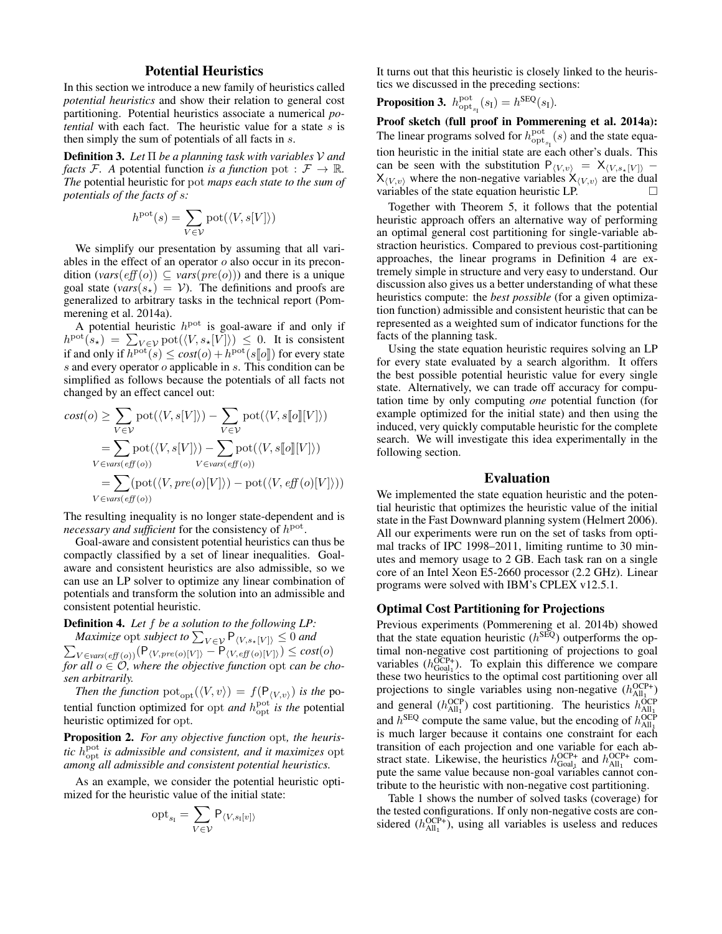# Potential Heuristics

In this section we introduce a new family of heuristics called *potential heuristics* and show their relation to general cost partitioning. Potential heuristics associate a numerical *potential* with each fact. The heuristic value for a state s is then simply the sum of potentials of all facts in s.

Definition 3. *Let* Π *be a planning task with variables* V *and facts* F. A potential function *is a function* pot :  $\mathcal{F} \to \mathbb{R}$ . *The* potential heuristic for pot *maps each state to the sum of potentials of the facts of* s*:*

$$
h^{\mathrm{pot}}(s) = \sum_{V \in \mathcal{V}} \mathrm{pot}(\langle V, s[V] \rangle)
$$

We simplify our presentation by assuming that all variables in the effect of an operator  $o$  also occur in its precondition  $\left(\text{vars}(eff(o)) \subseteq \text{vars}(pre(o))\right)$  and there is a unique goal state ( $vars(s_{\star}) = V$ ). The definitions and proofs are generalized to arbitrary tasks in the technical report (Pommerening et al. 2014a).

A potential heuristic  $h<sup>pot</sup>$  is goal-aware if and only if  $h^{\text{pot}}(s_{\star}) = \sum_{V \in \mathcal{V}} \text{pot}(\langle V, s_{\star}[\overline{V}]\rangle) \leq 0$ . It is consistent if and only if  $h<sup>pot</sup>(s) \leq cost(o) + h<sup>pot</sup>(s||o||)$  for every state s and every operator o applicable in s. This condition can be simplified as follows because the potentials of all facts not changed by an effect cancel out:

$$
cost(o) \geq \sum_{V \in \mathcal{V}} \text{pot}(\langle V, s[V] \rangle) - \sum_{V \in \mathcal{V}} \text{pot}(\langle V, s[\![o]\!][V]\rangle)
$$
  
= 
$$
\sum_{V \in vars(eff(o))} \text{pot}(\langle V, s[V] \rangle) - \sum_{V \in vars(eff(o))} \text{pot}(\langle V, s[\![o]\!][V]\rangle)
$$
  
= 
$$
\sum_{V \in vars(eff(o))} (\text{pot}(\langle V, pre(o)[V] \rangle) - \text{pot}(\langle V, eff(o)[V] \rangle))
$$

The resulting inequality is no longer state-dependent and is necessary and sufficient for the consistency of  $h<sup>pot</sup>$ .

Goal-aware and consistent potential heuristics can thus be compactly classified by a set of linear inequalities. Goalaware and consistent heuristics are also admissible, so we can use an LP solver to optimize any linear combination of potentials and transform the solution into an admissible and consistent potential heuristic.

Definition 4. *Let* f *be a solution to the following LP:*

*Maximize* opt *subject to*  $\sum_{V \in \mathcal{V}} P_{\langle V, s_{\star}[V] \rangle} \leq 0$  and  $\sum_{V \in vars(eff(o))} (P_{\langle V,pre(o)[V] \rangle} - P_{\langle V,eff(o)[V] \rangle}) \leq cost(o)$ *for all* o ∈ O*, where the objective function* opt *can be chosen arbitrarily.*

*Then the function*  $pot_{opt}(\langle V, v \rangle) = f(P_{\langle V, v \rangle})$  *is the* potential function optimized for opt *and*  $h_{\text{opt}}^{\text{pot}}$  *is the* potential heuristic optimized for opt*.*

Proposition 2. *For any objective function* opt*, the heuristic*  $h_{\text{opt}}^{\text{pot}}$  *is admissible and consistent, and it maximizes* opt *among all admissible and consistent potential heuristics.*

As an example, we consider the potential heuristic optimized for the heuristic value of the initial state:

$$
\operatorname{opt}_{s_{\mathrm{I}}} = \sum_{V \in \mathcal{V}} \mathsf{P}_{\langle V, s_{\mathrm{I}}[v] \rangle}
$$

It turns out that this heuristic is closely linked to the heuristics we discussed in the preceding sections:

**Proposition 3.** 
$$
h_{\text{opt}_{s_{\text{I}}}}^{\text{pot}}(s_{\text{I}}) = h^{\text{SEQ}}(s_{\text{I}}).
$$

Proof sketch (full proof in Pommerening et al. 2014a): The linear programs solved for  $h_{\text{opt}_{s_1}}^{\text{pot}}(s)$  and the state equation heuristic in the initial state are each other's duals. This can be seen with the substitution  $P_{\langle V,v \rangle} = X_{\langle V,s_*[V] \rangle} X_{\langle V,v\rangle}$  where the non-negative variables  $X_{\langle V,v\rangle}$  are the dual variables of the state equation heuristic LP.  $\Box$ 

Together with Theorem 5, it follows that the potential heuristic approach offers an alternative way of performing an optimal general cost partitioning for single-variable abstraction heuristics. Compared to previous cost-partitioning approaches, the linear programs in Definition 4 are extremely simple in structure and very easy to understand. Our discussion also gives us a better understanding of what these heuristics compute: the *best possible* (for a given optimization function) admissible and consistent heuristic that can be represented as a weighted sum of indicator functions for the facts of the planning task.

Using the state equation heuristic requires solving an LP for every state evaluated by a search algorithm. It offers the best possible potential heuristic value for every single state. Alternatively, we can trade off accuracy for computation time by only computing *one* potential function (for example optimized for the initial state) and then using the induced, very quickly computable heuristic for the complete search. We will investigate this idea experimentally in the following section.

### Evaluation

We implemented the state equation heuristic and the potential heuristic that optimizes the heuristic value of the initial state in the Fast Downward planning system (Helmert 2006). All our experiments were run on the set of tasks from optimal tracks of IPC 1998–2011, limiting runtime to 30 minutes and memory usage to 2 GB. Each task ran on a single core of an Intel Xeon E5-2660 processor (2.2 GHz). Linear programs were solved with IBM's CPLEX v12.5.1.

### Optimal Cost Partitioning for Projections

Previous experiments (Pommerening et al. 2014b) showed that the state equation heuristic ( $h^{\text{SEQ}}$ ) outperforms the optimal non-negative cost partitioning of projections to goal variables  $(h_{\text{Goal}_1}^{\text{OCP+}})$ . To explain this difference we compare these two heuristics to the optimal cost partitioning over all projections to single variables using non-negative  $(h_{\text{All}_1}^{\text{OCP+}})$ and general  $(h_{\text{All}_1}^{\text{OCP}})$  cost partitioning. The heuristics  $h_{\text{All}_1}^{\text{OCP}}$ and  $h^{\text{SEQ}}$  compute the same value, but the encoding of  $h^{\text{OCP}}_{\text{All}_1}$ is much larger because it contains one constraint for each transition of each projection and one variable for each abstract state. Likewise, the heuristics  $h_{\text{Goal}_1}^{\text{OCP+}}$  and  $h_{\text{All}_1}^{\text{OCP+}}$  compute the same value because non-goal variables cannot contribute to the heuristic with non-negative cost partitioning.

Table 1 shows the number of solved tasks (coverage) for the tested configurations. If only non-negative costs are considered  $(h_{\text{All}_1}^{\text{OCP+}})$ , using all variables is useless and reduces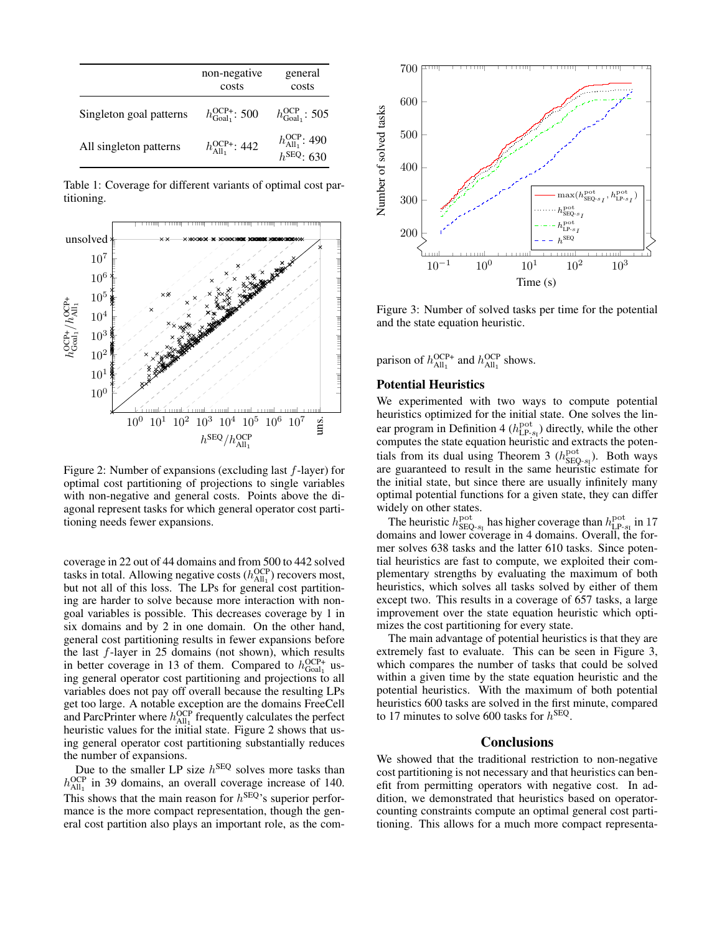|                         | non-negative<br>costs                   | general<br>costs                                                |
|-------------------------|-----------------------------------------|-----------------------------------------------------------------|
| Singleton goal patterns | $h_{\text{Goal}_1}^{\text{OCP+}}$ : 500 | $h_{\text{Goal}_1}^{\text{OCP}}$ : 505                          |
| All singleton patterns  | $h_{\text{All}_1}^{\text{OCP+}}$ : 442  | $h_{\text{All}_1}^{\text{OCP}}$ : 490<br>$h_{\text{SEQ}}$ : 630 |

Table 1: Coverage for different variants of optimal cost partitioning.



Figure 2: Number of expansions (excluding last f-layer) for optimal cost partitioning of projections to single variables with non-negative and general costs. Points above the diagonal represent tasks for which general operator cost partitioning needs fewer expansions.

coverage in 22 out of 44 domains and from 500 to 442 solved tasks in total. Allowing negative costs  $(h_{\text{All}_1}^{\text{OCP}})$  recovers most, but not all of this loss. The LPs for general cost partitioning are harder to solve because more interaction with nongoal variables is possible. This decreases coverage by 1 in six domains and by 2 in one domain. On the other hand, general cost partitioning results in fewer expansions before the last  $f$ -layer in 25 domains (not shown), which results in better coverage in 13 of them. Compared to  $h_{\text{Goal}_1}^{\text{OCP+}}$  using general operator cost partitioning and projections to all variables does not pay off overall because the resulting LPs get too large. A notable exception are the domains FreeCell and ParcPrinter where  $h_{\text{All}_1}^{\text{OCP}}$  frequently calculates the perfect heuristic values for the initial state. Figure 2 shows that using general operator cost partitioning substantially reduces the number of expansions.

Due to the smaller LP size  $h^{\text{SEQ}}$  solves more tasks than  $h_{\text{All}_1}^{\text{OCP}}$  in 39 domains, an overall coverage increase of 140. This shows that the main reason for  $h^{\text{SEQ}}$ 's superior performance is the more compact representation, though the general cost partition also plays an important role, as the com-



Figure 3: Number of solved tasks per time for the potential and the state equation heuristic.

parison of  $h_{\text{All}_1}^{\text{OCP+}}$  and  $h_{\text{All}_1}^{\text{OCP}}$  shows.

# Potential Heuristics

We experimented with two ways to compute potential heuristics optimized for the initial state. One solves the linear program in Definition 4 ( $h_{\text{LP-s1}}^{\text{pot}}$ ) directly, while the other computes the state equation heuristic and extracts the potentials from its dual using Theorem 3  $(h_{\text{SEQ-}s_1}^{\text{pot}})$ . Both ways are guaranteed to result in the same heuristic estimate for the initial state, but since there are usually infinitely many optimal potential functions for a given state, they can differ widely on other states.

The heuristic  $h_{\text{SEQ-}s_1}^{\text{pot}}$  has higher coverage than  $h_{\text{LP-}s_1}^{\text{pot}}$  in 17 domains and lower coverage in 4 domains. Overall, the former solves 638 tasks and the latter 610 tasks. Since potential heuristics are fast to compute, we exploited their complementary strengths by evaluating the maximum of both heuristics, which solves all tasks solved by either of them except two. This results in a coverage of 657 tasks, a large improvement over the state equation heuristic which optimizes the cost partitioning for every state.

The main advantage of potential heuristics is that they are extremely fast to evaluate. This can be seen in Figure 3, which compares the number of tasks that could be solved within a given time by the state equation heuristic and the potential heuristics. With the maximum of both potential heuristics 600 tasks are solved in the first minute, compared to 17 minutes to solve 600 tasks for  $h^{\text{SEQ}}$ .

### **Conclusions**

We showed that the traditional restriction to non-negative cost partitioning is not necessary and that heuristics can benefit from permitting operators with negative cost. In addition, we demonstrated that heuristics based on operatorcounting constraints compute an optimal general cost partitioning. This allows for a much more compact representa